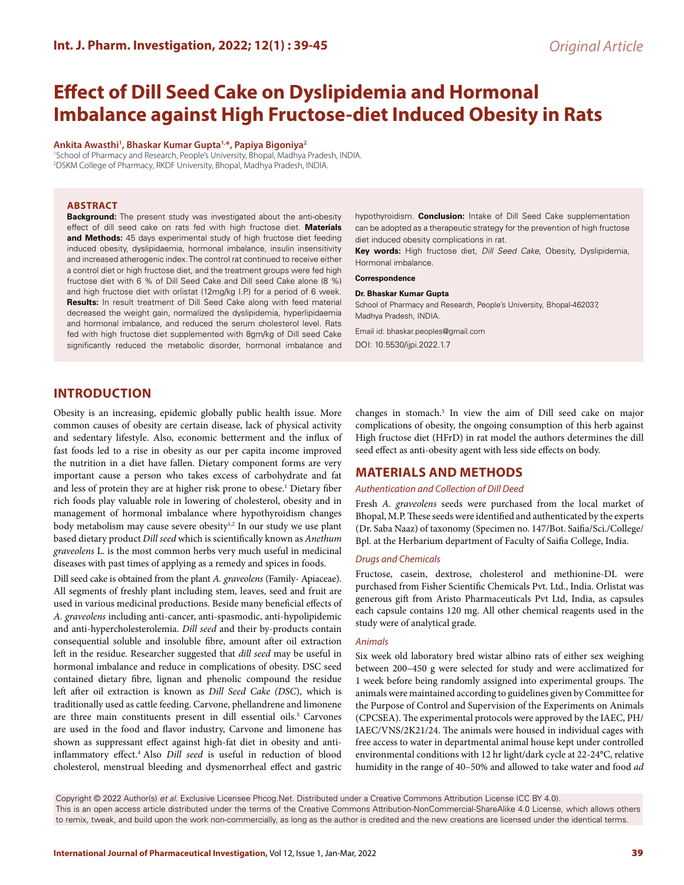# **Effect of Dill Seed Cake on Dyslipidemia and Hormonal Imbalance against High Fructose-diet Induced Obesity in Rats**

**Ankita Awasthi1 , Bhaskar Kumar Gupta1,\*, Papiya Bigoniya2**

1 School of Pharmacy and Research, People's University, Bhopal, Madhya Pradesh, INDIA. 2 DSKM College of Pharmacy, RKDF University, Bhopal, Madhya Pradesh, INDIA.

### **ABSTRACT**

**Background:** The present study was investigated about the anti-obesity effect of dill seed cake on rats fed with high fructose diet. **Materials and Methods:** 45 days experimental study of high fructose diet feeding induced obesity, dyslipidaemia, hormonal imbalance, insulin insensitivity and increased atherogenic index. The control rat continued to receive either a control diet or high fructose diet, and the treatment groups were fed high fructose diet with 6 % of Dill Seed Cake and Dill seed Cake alone (8 %) and high fructose diet with orlistat (12mg/kg I.P.) for a period of 6 week. **Results:** In result treatment of Dill Seed Cake along with feed material decreased the weight gain, normalized the dyslipidemia, hyperlipidaemia and hormonal imbalance, and reduced the serum cholesterol level. Rats fed with high fructose diet supplemented with 8gm/kg of Dill seed Cake significantly reduced the metabolic disorder, hormonal imbalance and

hypothyroidism. **Conclusion:** Intake of Dill Seed Cake supplementation can be adopted as a therapeutic strategy for the prevention of high fructose diet induced obesity complications in rat.

**Key words:** High fructose diet, *Dill Seed Cake*, Obesity, Dyslipidemia, Hormonal imbalance.

#### **Correspondence**

#### **Dr. Bhaskar Kumar Gupta**

School of Pharmacy and Research, People's University, Bhopal-462037, Madhya Pradesh, INDIA.

Email id: bhaskar.peoples@gmail.com DOI: 10.5530/ijpi.2022.1.7

# **INTRODUCTION**

Obesity is an increasing, epidemic globally public health issue. More common causes of obesity are certain disease, lack of physical activity and sedentary lifestyle. Also, economic betterment and the influx of fast foods led to a rise in obesity as our per capita income improved the nutrition in a diet have fallen. Dietary component forms are very important cause a person who takes excess of carbohydrate and fat and less of protein they are at higher risk prone to obese.<sup>1</sup> Dietary fiber rich foods play valuable role in lowering of cholesterol, obesity and in management of hormonal imbalance where hypothyroidism changes body metabolism may cause severe obesity<sup>1,2</sup> In our study we use plant based dietary product *Dill seed* which is scientifically known as *Anethum graveolens* L. is the most common herbs very much useful in medicinal diseases with past times of applying as a remedy and spices in foods.

Dill seed cake is obtained from the plant *A. graveolens* (Family- Apiaceae). All segments of freshly plant including stem, leaves, seed and fruit are used in various medicinal productions. Beside many beneficial effects of *A. graveolens* including anti-cancer, anti-spasmodic, anti-hypolipidemic and anti-hypercholesterolemia. *Dill seed* and their by-products contain consequential soluble and insoluble fibre, amount after oil extraction left in the residue. Researcher suggested that *dill seed* may be useful in hormonal imbalance and reduce in complications of obesity. DSC seed contained dietary fibre, lignan and phenolic compound the residue left after oil extraction is known as *Dill Seed Cake (DSC*), which is traditionally used as cattle feeding. Carvone, phellandrene and limonene are three main constituents present in dill essential oils.3. Carvones are used in the food and flavor industry, Carvone and limonene has shown as suppressant effect against high-fat diet in obesity and antiinflammatory effect.4 Also *Dill seed* is useful in reduction of blood cholesterol, menstrual bleeding and dysmenorrheal effect and gastric

changes in stomach.<sup>5</sup> In view the aim of Dill seed cake on major complications of obesity, the ongoing consumption of this herb against High fructose diet (HFrD) in rat model the authors determines the dill seed effect as anti-obesity agent with less side effects on body.

# **MATERIALS AND METHODS**

#### *Authentication and Collection of Dill Deed*

Fresh *A. graveolens* seeds were purchased from the local market of Bhopal, M.P. These seeds were identified and authenticated by the experts (Dr. Saba Naaz) of taxonomy (Specimen no. 147/Bot. Saifia/Sci./College/ Bpl. at the Herbarium department of Faculty of Saifia College, India.

#### *Drugs and Chemicals*

Fructose, casein, dextrose, cholesterol and methionine-DL were purchased from Fisher Scientific Chemicals Pvt. Ltd., India. Orlistat was generous gift from Aristo Pharmaceuticals Pvt Ltd, India, as capsules each capsule contains 120 mg. All other chemical reagents used in the study were of analytical grade.

#### *Animals*

Six week old laboratory bred wistar albino rats of either sex weighing between 200–450 g were selected for study and were acclimatized for 1 week before being randomly assigned into experimental groups. The animals were maintained according to guidelines given by Committee for the Purpose of Control and Supervision of the Experiments on Animals (CPCSEA). The experimental protocols were approved by the IAEC, PH/ IAEC/VNS/2K21/24. The animals were housed in individual cages with free access to water in departmental animal house kept under controlled environmental conditions with 12 hr light/dark cycle at 22-24°C, relative humidity in the range of 40–50% and allowed to take water and food *ad* 

Copyright © 2022 Author(s) *et al*. Exclusive Licensee Phcog.Net. Distributed under a Creative Commons Attribution License (CC BY 4.0). This is an open access article distributed under the terms of the Creative Commons Attribution-NonCommercial-ShareAlike 4.0 License, which allows others to remix, tweak, and build upon the work non-commercially, as long as the author is credited and the new creations are licensed under the identical terms.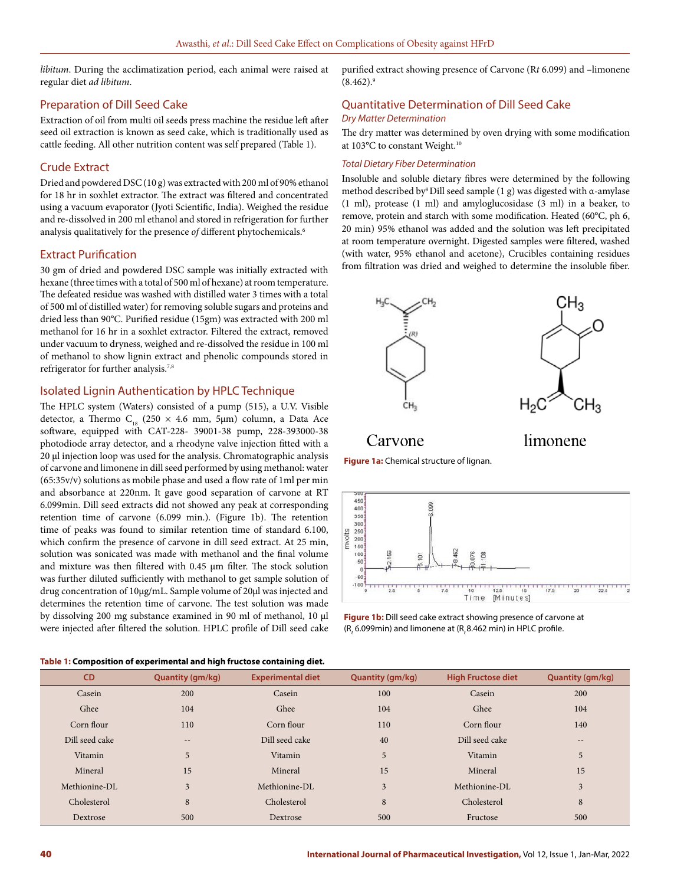*libitum*. During the acclimatization period, each animal were raised at regular diet *ad libitum*.

# Preparation of Dill Seed Cake

Extraction of oil from multi oil seeds press machine the residue left after seed oil extraction is known as seed cake, which is traditionally used as cattle feeding. All other nutrition content was self prepared (Table 1).

# Crude Extract

Dried and powdered DSC (10 g) was extracted with 200 ml of 90% ethanol for 18 hr in soxhlet extractor. The extract was filtered and concentrated using a vacuum evaporator (Jyoti Scientific, India). Weighed the residue and re-dissolved in 200 ml ethanol and stored in refrigeration for further analysis qualitatively for the presence *of* different phytochemicals.6

# Extract Purification

30 gm of dried and powdered DSC sample was initially extracted with hexane (three times with a total of 500 ml of hexane) at room temperature. The defeated residue was washed with distilled water 3 times with a total of 500 ml of distilled water) for removing soluble sugars and proteins and dried less than 90**°**C. Purified residue (15gm) was extracted with 200 ml methanol for 16 hr in a soxhlet extractor. Filtered the extract, removed under vacuum to dryness, weighed and re-dissolved the residue in 100 ml of methanol to show lignin extract and phenolic compounds stored in refrigerator for further analysis.<sup>7,8</sup>

# Isolated Lignin Authentication by HPLC Technique

The HPLC system (Waters) consisted of a pump (515), a U.V. Visible detector, a Thermo  $C_{18}$  (250 × 4.6 mm, 5µm) column, a Data Ace software, equipped with CAT-228- 39001-38 pump, 228-393000-38 photodiode array detector, and a rheodyne valve injection fitted with a 20 µl injection loop was used for the analysis. Chromatographic analysis of carvone and limonene in dill seed performed by using methanol: water (65:35v/v) solutions as mobile phase and used a flow rate of 1ml per min and absorbance at 220nm. It gave good separation of carvone at RT 6.099min. Dill seed extracts did not showed any peak at corresponding retention time of carvone (6.099 min.). (Figure 1b). The retention time of peaks was found to similar retention time of standard 6.100, which confirm the presence of carvone in dill seed extract. At 25 min, solution was sonicated was made with methanol and the final volume and mixture was then filtered with 0.45 µm filter. The stock solution was further diluted sufficiently with methanol to get sample solution of drug concentration of 10μg/mL. Sample volume of 20µl was injected and determines the retention time of carvone. The test solution was made by dissolving 200 mg substance examined in 90 ml of methanol, 10 µl were injected after filtered the solution. HPLC profile of Dill seed cake

purified extract showing presence of Carvone (R*t* 6.099) and –limonene  $(8.462)^9$ 

# Quantitative Determination of Dill Seed Cake *Dry Matter Determination*

The dry matter was determined by oven drying with some modification at 103**°**C to constant Weight.10

### *Total Dietary Fiber Determination*

Insoluble and soluble dietary fibres were determined by the following method described by<sup>8</sup> Dill seed sample (1 g) was digested with α-amylase (1 ml), protease (1 ml) and amyloglucosidase (3 ml) in a beaker, to remove, protein and starch with some modification. Heated (60°C, ph 6, 20 min) 95% ethanol was added and the solution was left precipitated at room temperature overnight. Digested samples were filtered, washed (with water, 95% ethanol and acetone), Crucibles containing residues from filtration was dried and weighed to determine the insoluble fiber.



Carvone

limonene





**Figure 1b:** Dill seed cake extract showing presence of carvone at (R*t* 6.099min) and limonene at (R*<sup>t</sup>* 8.462 min) in HPLC profile.

| <b>CD</b>      | Quantity (gm/kg)  | <b>Experimental diet</b> | <b>Quantity (gm/kg)</b> | <b>High Fructose diet</b> | <b>Quantity (gm/kg)</b> |
|----------------|-------------------|--------------------------|-------------------------|---------------------------|-------------------------|
| Casein         | 200               | Casein                   | 100                     | Casein                    | 200                     |
| Ghee           | 104               | Ghee                     | 104                     | Ghee                      | 104                     |
| Corn flour     | 110               | Corn flour               | 110                     | Corn flour                | 140                     |
| Dill seed cake | $\qquad \qquad -$ | Dill seed cake           | 40                      | Dill seed cake            | $\qquad \qquad -$       |
| Vitamin        | 5                 | Vitamin                  | 5                       | Vitamin                   | 5                       |
| Mineral        | 15                | Mineral                  | 15                      | Mineral                   | 15                      |
| Methionine-DL  | 3                 | Methionine-DL            | 3                       | Methionine-DL             | 3                       |
| Cholesterol    | 8                 | Cholesterol              | 8                       | Cholesterol               | 8                       |
| Dextrose       | 500               | Dextrose                 | 500                     | Fructose                  | 500                     |

### **Table 1: Composition of experimental and high fructose containing diet.**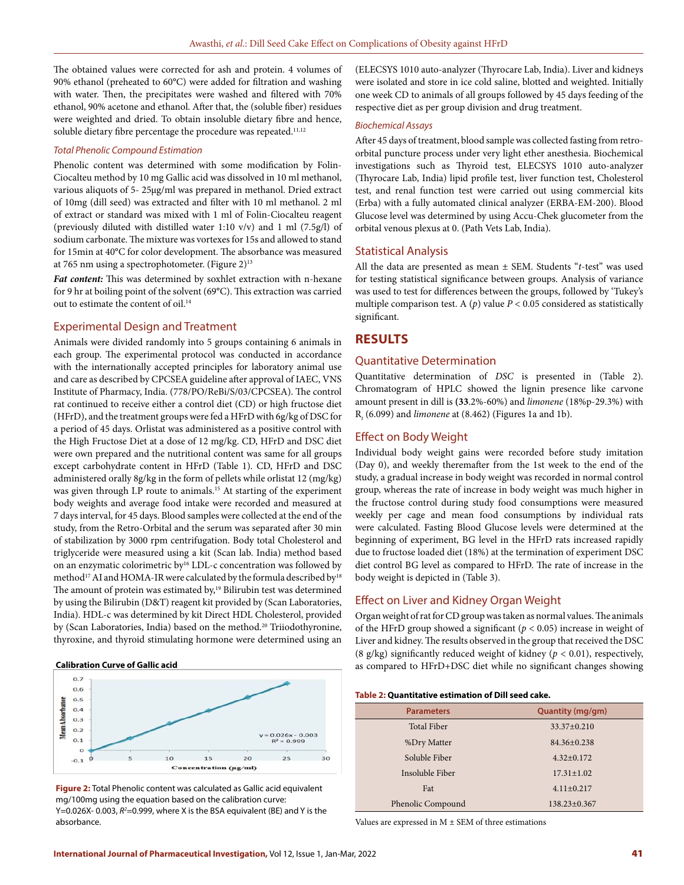The obtained values were corrected for ash and protein. 4 volumes of 90% ethanol (preheated to 60°C) were added for filtration and washing with water. Then, the precipitates were washed and filtered with 70% ethanol, 90% acetone and ethanol. After that, the (soluble fiber) residues were weighted and dried. To obtain insoluble dietary fibre and hence, soluble dietary fibre percentage the procedure was repeated.<sup>11,12</sup>

#### *Total Phenolic Compound Estimation*

Phenolic content was determined with some modification by Folin-Ciocalteu method by 10 mg Gallic acid was dissolved in 10 ml methanol, various aliquots of 5- 25µg/ml was prepared in methanol. Dried extract of 10mg (dill seed) was extracted and filter with 10 ml methanol. 2 ml of extract or standard was mixed with 1 ml of Folin-Ciocalteu reagent (previously diluted with distilled water 1:10 v/v) and 1 ml (7.5g/l) of sodium carbonate. The mixture was vortexes for 15s and allowed to stand for 15min at 40°C for color development. The absorbance was measured at 765 nm using a spectrophotometer. (Figure 2)<sup>13</sup>

*Fat content:* This was determined by soxhlet extraction with n-hexane for 9 hr at boiling point of the solvent (69**°**C). This extraction was carried out to estimate the content of oil.14

### Experimental Design and Treatment

Animals were divided randomly into 5 groups containing 6 animals in each group. The experimental protocol was conducted in accordance with the internationally accepted principles for laboratory animal use and care as described by CPCSEA guideline after approval of IAEC, VNS Institute of Pharmacy, India. (778/PO/ReBi/S/03/CPCSEA). The control rat continued to receive either a control diet (CD) or high fructose diet (HFrD), and the treatment groups were fed a HFrD with 6g/kg of DSC for a period of 45 days. Orlistat was administered as a positive control with the High Fructose Diet at a dose of 12 mg/kg. CD, HFrD and DSC diet were own prepared and the nutritional content was same for all groups except carbohydrate content in HFrD (Table 1). CD, HFrD and DSC administered orally 8g/kg in the form of pellets while orlistat 12 (mg/kg) was given through I.P route to animals.<sup>15</sup> At starting of the experiment body weights and average food intake were recorded and measured at 7 days interval, for 45 days. Blood samples were collected at the end of the study, from the Retro-Orbital and the serum was separated after 30 min of stabilization by 3000 rpm centrifugation. Body total Cholesterol and triglyceride were measured using a kit (Scan lab. India) method based on an enzymatic colorimetric by16 LDL-c concentration was followed by method<sup>17</sup> AI and HOMA-IR were calculated by the formula described by<sup>18</sup> The amount of protein was estimated by,<sup>19</sup> Bilirubin test was determined by using the Bilirubin (D&T) reagent kit provided by (Scan Laboratories, India). HDL-c was determined by kit Direct HDL Cholesterol, provided by (Scan Laboratories, India) based on the method.<sup>20</sup> Triiodothyronine, thyroxine, and thyroid stimulating hormone were determined using an

#### **Calibration Curve of Gallic acid**



**Figure 2:** Total Phenolic content was calculated as Gallic acid equivalent mg/100mg using the equation based on the calibration curve: Y=0.026X-0.003, R<sup>2</sup>=0.999, where X is the BSA equivalent (BE) and Y is the absorbance.

(ELECSYS 1010 auto-analyzer (Thyrocare Lab, India). Liver and kidneys were isolated and store in ice cold saline, blotted and weighted. Initially one week CD to animals of all groups followed by 45 days feeding of the respective diet as per group division and drug treatment.

#### *Biochemical Assays*

After 45 days of treatment, blood sample was collected fasting from retroorbital puncture process under very light ether anesthesia. Biochemical investigations such as Thyroid test, ELECSYS 1010 auto-analyzer (Thyrocare Lab, India) lipid profile test, liver function test, Cholesterol test, and renal function test were carried out using commercial kits (Erba) with a fully automated clinical analyzer (ERBA-EM-200). Blood Glucose level was determined by using Accu-Chek glucometer from the orbital venous plexus at 0. (Path Vets Lab, India).

### Statistical Analysis

All the data are presented as mean ± SEM. Students "*t*-test" was used for testing statistical significance between groups. Analysis of variance was used to test for differences between the groups, followed by 'Tukey's multiple comparison test. A  $(p)$  value  $P < 0.05$  considered as statistically significant.

### **RESULTS**

### Quantitative Determination

Quantitative determination of *DSC* is presented in (Table 2). Chromatogram of HPLC showed the lignin presence like carvone amount present in dill is **(33**.2%-60%) and *limonene* (18%p-29.3%) with R*t* (6.099) and *limonene* at (8.462) (Figures 1a and 1b).

### Effect on Body Weight

Individual body weight gains were recorded before study imitation (Day 0), and weekly theremafter from the 1st week to the end of the study, a gradual increase in body weight was recorded in normal control group, whereas the rate of increase in body weight was much higher in the fructose control during study food consumptions were measured weekly per cage and mean food consumptions by individual rats were calculated. Fasting Blood Glucose levels were determined at the beginning of experiment, BG level in the HFrD rats increased rapidly due to fructose loaded diet (18%) at the termination of experiment DSC diet control BG level as compared to HFrD. The rate of increase in the body weight is depicted in (Table 3).

### Effect on Liver and Kidney Organ Weight

Organ weight of rat for CD group was taken as normal values. The animals of the HFrD group showed a significant ( $p < 0.05$ ) increase in weight of Liver and kidney. The results observed in the group that received the DSC (8 g/kg) significantly reduced weight of kidney ( $p < 0.01$ ), respectively, as compared to HFrD+DSC diet while no significant changes showing

#### **Table 2: Quantitative estimation of Dill seed cake.**

| <b>Parameters</b>  | Quantity (mg/gm)   |  |  |
|--------------------|--------------------|--|--|
| <b>Total Fiber</b> | $33.37 \pm 0.210$  |  |  |
| %Dry Matter        | $84.36 + 0.238$    |  |  |
| Soluble Fiber      | $4.32+0.172$       |  |  |
| Insoluble Fiber    | $17.31 \pm 1.02$   |  |  |
| Fat                | $4.11 \pm 0.217$   |  |  |
| Phenolic Compound  | $138.23 \pm 0.367$ |  |  |

Values are expressed in  $M \pm SEM$  of three estimations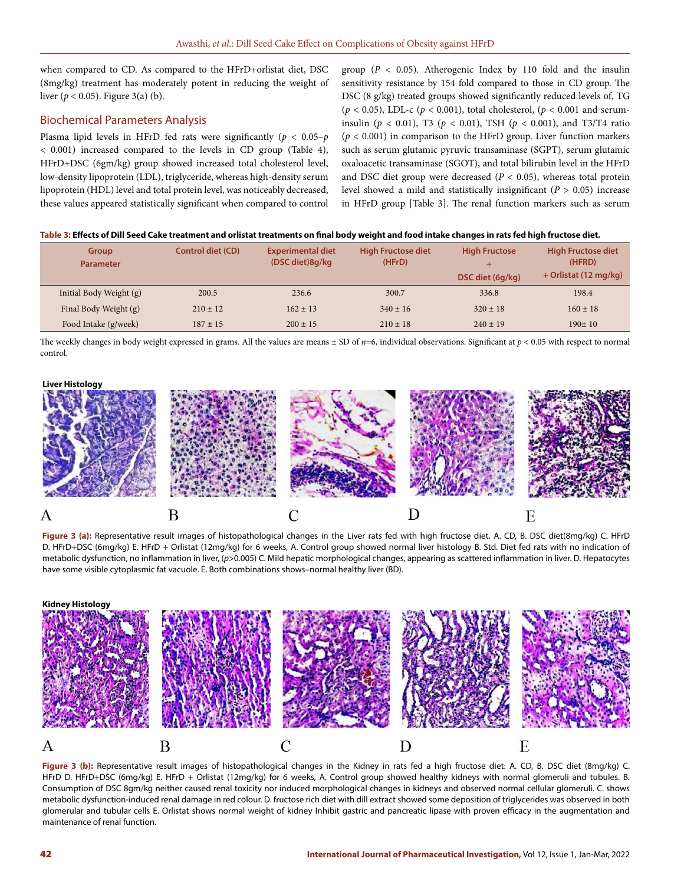when compared to CD. As compared to the HFrD+orlistat diet, DSC (8mg/kg) treatment has moderately potent in reducing the weight of liver ( $p < 0.05$ ). Figure 3(a) (b).

# Biochemical Parameters Analysis

Plasma lipid levels in HFrD fed rats were significantly (*p* < 0.05–*p* < 0.001) increased compared to the levels in CD group (Table 4), HFrD+DSC (6gm/kg) group showed increased total cholesterol level, low-density lipoprotein (LDL), triglyceride, whereas high-density serum lipoprotein (HDL) level and total protein level, was noticeably decreased, these values appeared statistically significant when compared to control

group ( $P < 0.05$ ). Atherogenic Index by 110 fold and the insulin sensitivity resistance by 154 fold compared to those in CD group. The DSC (8 g/kg) treated groups showed significantly reduced levels of, TG ( $p$  < 0.05), LDL-c ( $p$  < 0.001), total cholesterol, ( $p$  < 0.001 and seruminsulin (*p* < 0.01), T3 (*p* < 0.01), TSH (*p* < 0.001), and T3/T4 ratio  $(p < 0.001)$  in comparison to the HFrD group. Liver function markers such as serum glutamic pyruvic transaminase (SGPT), serum glutamic oxaloacetic transaminase (SGOT), and total bilirubin level in the HFrD and DSC diet group were decreased ( $P < 0.05$ ), whereas total protein level showed a mild and statistically insignificant (*P* > 0.05) increase in HFrD group [Table 3]. The renal function markers such as serum

### **Table 3: Effects of Dill Seed Cake treatment and orlistat treatments on final body weight and food intake changes in rats fed high fructose diet.**

| <b>Group</b><br><b>Parameter</b> | <b>Control diet (CD)</b> | <b>Experimental diet</b><br>(DSC diet)8q/kg | <b>High Fructose diet</b><br>(HFrD) | <b>High Fructose</b><br>DSC diet (6q/kg) | <b>High Fructose diet</b><br>(HFRD)<br>+ Orlistat (12 mg/kg) |
|----------------------------------|--------------------------|---------------------------------------------|-------------------------------------|------------------------------------------|--------------------------------------------------------------|
| Initial Body Weight (g)          | 200.5                    | 236.6                                       | 300.7                               | 336.8                                    | 198.4                                                        |
| Final Body Weight (g)            | $210 \pm 12$             | $162 \pm 13$                                | $340 \pm 16$                        | $320 \pm 18$                             | $160 \pm 18$                                                 |
| Food Intake (g/week)             | $187 + 15$               | $200 \pm 15$                                | $210 \pm 18$                        | $240 \pm 19$                             | $190+10$                                                     |

The weekly changes in body weight expressed in grams. All the values are means  $\pm$  SD of *n*=6, individual observations. Significant at  $p < 0.05$  with respect to normal control.

# **Liver Histology**



**Figure 3 (a):** Representative result images of histopathological changes in the Liver rats fed with high fructose diet. A. CD, B. DSC diet(8mg/kg) C. HFrD D. HFrD+DSC (6mg/kg) E. HFrD + Orlistat (12mg/kg) for 6 weeks, A. Control group showed normal liver histology B. Std. Diet fed rats with no indication of metabolic dysfunction, no inflammation in liver, (*p*>0.005) C. Mild hepatic morphological changes, appearing as scattered inflammation in liver. D. Hepatocytes have some visible cytoplasmic fat vacuole. E. Both combinations shows–normal healthy liver (BD).



**Figure 3 (b):** Representative result images of histopathological changes in the Kidney in rats fed a high fructose diet: A. CD, B. DSC diet (8mg/kg) C. HFrD D. HFrD+DSC (6mg/kg) E. HFrD + Orlistat (12mg/kg) for 6 weeks, A. Control group showed healthy kidneys with normal glomeruli and tubules. B. Consumption of DSC 8gm/kg neither caused renal toxicity nor induced morphological changes in kidneys and observed normal cellular glomeruli. C. shows metabolic dysfunction-induced renal damage in red colour. D. fructose rich diet with dill extract showed some deposition of triglycerides was observed in both glomerular and tubular cells E. Orlistat shows normal weight of kidney Inhibit gastric and pancreatic lipase with proven efficacy in the augmentation and maintenance of renal function.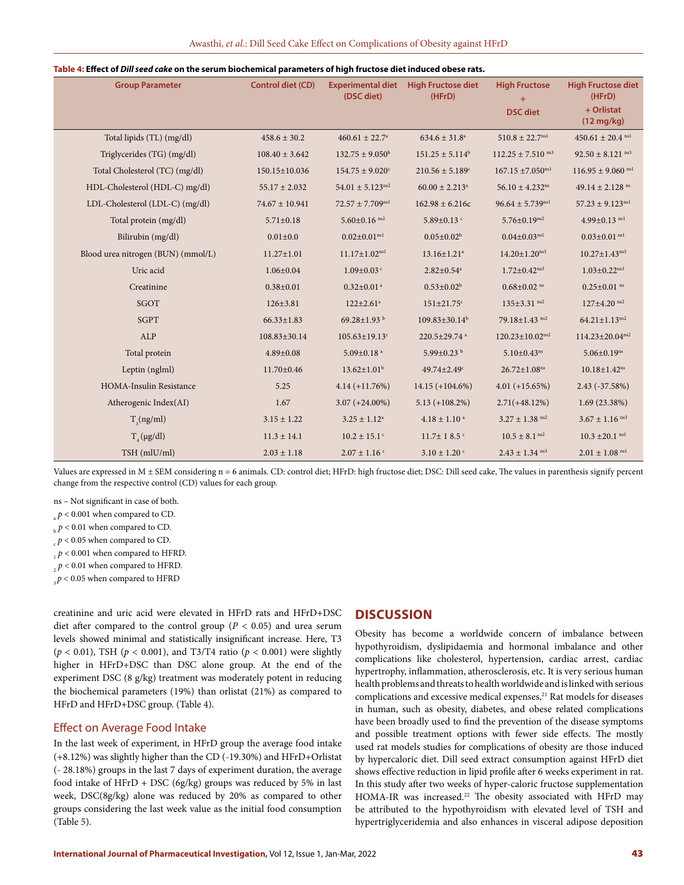#### **Table 4: Effect of** *Dill seed cake* **on the serum biochemical parameters of high fructose diet induced obese rats.**

| <b>Group Parameter</b>             | <b>Control diet (CD)</b> | <b>Experimental diet</b><br>(DSC diet) | <b>High Fructose diet</b><br>(HFrD) | <b>High Fructose</b><br>$+$<br><b>DSC</b> diet | <b>High Fructose diet</b><br>(HFrD)<br>+ Orlistat |
|------------------------------------|--------------------------|----------------------------------------|-------------------------------------|------------------------------------------------|---------------------------------------------------|
|                                    |                          |                                        |                                     |                                                | $(12 \text{ mg/kg})$                              |
| Total lipids (TL) (mg/dl)          | $458.6 \pm 30.2$         | $460.61 \pm 22.7^{\circ}$              | $634.6 \pm 31.8^a$                  | $510.8 \pm 22.7^{\text{nsl}}$                  | $450.61 \pm 20.4$ <sup>nsl</sup>                  |
| Triglycerides (TG) (mg/dl)         | $108.40 \pm 3.642$       | $132.75 \pm 9.050^{\circ}$             | $151.25 \pm 5.114^b$                | $112.25 \pm 7.510$ <sup>ns3</sup>              | $92.50 \pm 8.121$ <sup>ns3</sup>                  |
| Total Cholesterol (TC) (mg/dl)     | 150.15±10.036            | $154.75 \pm 9.020$ <sup>c</sup>        | $210.56 \pm 5.189$ <sup>c</sup>     | $167.15 \pm 7.050^{ns1}$                       | $116.95 \pm 9.060$ <sup>nsl</sup>                 |
| HDL-Cholesterol (HDL-C) mg/dl)     | $55.17 \pm 2.032$        | $54.01 \pm 5.123$ <sup>ns2</sup>       | $60.00 \pm 2.213$ <sup>a</sup>      | $56.10 \pm 4.232$ <sup>ns</sup>                | 49.14 $\pm$ 2.128 ns                              |
| LDL-Cholesterol (LDL-C) (mg/dl)    | $74.67 \pm 10.941$       | $72.57 \pm 7.709^{\rm ns1}$            | $162.98 \pm 6.216c$                 | $96.64 \pm 5.739^{ns1}$                        | $57.23 \pm 9.123^{\text{nsl}}$                    |
| Total protein (mg/dl)              | $5.71 \pm 0.18$          | $5.60 \pm 0.16$ <sup>ns2</sup>         | 5.89 $\pm$ 0.13 $\degree$           | $5.76 \pm 0.19$ ns2                            | $4.99 \pm 0.13$ <sup>nsl</sup>                    |
| Bilirubin (mg/dl)                  | $0.01 \pm 0.0$           | $0.02 \pm 0.01^{\text{nsl}}$           | $0.05 \pm 0.02^b$                   | $0.04 \pm 0.03^{ns1}$                          | $0.03 \pm 0.01$ <sup>nsl</sup>                    |
| Blood urea nitrogen (BUN) (mmol/L) | $11.27 \pm 1.01$         | $11.17 \pm 1.02^{ns1}$                 | $13.16 \pm 1.21$ <sup>a</sup>       | $14.20 \pm 1.20$ <sup>ns3</sup>                | $10.27 \pm 1.43$ <sup>ns3</sup>                   |
| Uric acid                          | $1.06 \pm 0.04$          | $1.09 \pm 0.03$ <sup>c</sup>           | $2.82 \pm 0.54$ <sup>a</sup>        | $1.72 \pm 0.42$ <sup>ns3</sup>                 | $1.03 \pm 0.22$ <sup>ns3</sup>                    |
| Creatinine                         | $0.38 \pm 0.01$          | $0.32 \pm 0.01$ <sup>a</sup>           | $0.53 \pm 0.02^b$                   | $0.68 \pm 0.02$ <sup>ns</sup>                  | $0.25 \pm 0.01$ <sup>ns</sup>                     |
| SGOT                               | $126 \pm 3.81$           | $122 \pm 2.61$ <sup>a</sup>            | $151 \pm 21.75$ c                   | $135 \pm 3.31$ ns2                             | $127 \pm 4.20$ <sup>ns2</sup>                     |
| <b>SGPT</b>                        | $66.33 \pm 1.83$         | 69.28 $\pm$ 1.93 $^{\rm b}$            | $109.83 \pm 30.14^b$                | 79.18±1.43 ns2                                 | $64.21 \pm 1.13$ <sup>ns2</sup>                   |
| ALP                                | 108.83±30.14             | $105.63 \pm 19.13$ <sup>c</sup>        | 220.5±29.74 a                       | $120.23 \pm 10.02$ <sup>ns2</sup>              | $114.23 \pm 20.04^{ns2}$                          |
| Total protein                      | $4.89 \pm 0.08$          | $5.09 \pm 0.18$ <sup>a</sup>           | 5.99±0.23 b                         | $5.10 \pm 0.43$ <sup>ns</sup>                  | $5.06 \pm 0.19$ <sup>ns</sup>                     |
| Leptin (nglml)                     | $11.70 \pm 0.46$         | $13.62 \pm 1.01^b$                     | $49.74 \pm 2.49$ <sup>c</sup>       | $26.72 \pm 1.08$ <sup>ns</sup>                 | $10.18 \pm 1.42$ <sup>ns</sup>                    |
| HOMA-Insulin Resistance            | 5.25                     | $4.14 (+11.76%)$                       | $14.15 (+104.6%)$                   | $4.01 (+15.65%)$                               | 2.43 (-37.58%)                                    |
| Atherogenic Index(AI)              | 1.67                     | $3.07 (+24.00\%)$                      | $5.13 (+108.2\%)$                   | $2.71(+48.12\%)$                               | 1.69(23.38%)                                      |
| $T_s(ng/ml)$                       | $3.15 \pm 1.22$          | $3.25 \pm 1.12^a$                      | $4.18 \pm 1.10$ <sup>a</sup>        | $3.27 \pm 1.38$ <sup>ns2</sup>                 | $3.67 \pm 1.16$ <sup>ns3</sup>                    |
| $T_{4}$ (µg/dl)                    | $11.3 \pm 14.1$          | $10.2 \pm 15.1$ <sup>c</sup>           | $11.7 \pm 18.5$ <sup>c</sup>        | $10.5\pm8.1^{\,\rm ns2}$                       | $10.3 \pm 20.1$ <sup>ns1</sup>                    |
| TSH (mlU/ml)                       | $2.03 \pm 1.18$          | $2.07 \pm 1.16$ c                      | $3.10 \pm 1.20$ c                   | $2.43 \pm 1.34$ <sup>ns3</sup>                 | $2.01 \pm 1.08$ <sup>ns1</sup>                    |

Values are expressed in M ± SEM considering n = 6 animals. CD: control diet; HFrD: high fructose diet; DSC: Dill seed cake, The values in parenthesis signify percent change from the respective control (CD) values for each group.

ns – Not significant in case of both.

 $p < 0.001$  when compared to CD.

 $\Delta_p$   $p$  < 0.01 when compared to CD.

 $p < 0.05$  when compared to CD.

 $p < 0.001$  when compared to HFRD.

 $p$  < 0.01 when compared to HFRD.

 $3p < 0.05$  when compared to HFRD

creatinine and uric acid were elevated in HFrD rats and HFrD+DSC diet after compared to the control group ( $P < 0.05$ ) and urea serum levels showed minimal and statistically insignificant increase. Here, T3 (*p* < 0.01), TSH (*p* < 0.001), and T3/T4 ratio (*p* < 0.001) were slightly higher in HFrD+DSC than DSC alone group. At the end of the experiment DSC (8 g/kg) treatment was moderately potent in reducing the biochemical parameters (19%) than orlistat (21%) as compared to HFrD and HFrD+DSC group. (Table 4).

### Effect on Average Food Intake

In the last week of experiment, in HFrD group the average food intake (+8.12%) was slightly higher than the CD (-19.30%) and HFrD+Orlistat (- 28.18%) groups in the last 7 days of experiment duration, the average food intake of HFrD + DSC (6g/kg) groups was reduced by 5% in last week, DSC(8g/kg) alone was reduced by 20% as compared to other groups considering the last week value as the initial food consumption (Table 5).

# **DISCUSSION**

Obesity has become a worldwide concern of imbalance between hypothyroidism, dyslipidaemia and hormonal imbalance and other complications like cholesterol, hypertension, cardiac arrest, cardiac hypertrophy, inflammation, atherosclerosis, etc. It is very serious human health problems and threats to health worldwide and is linked with serious complications and excessive medical expenses,<sup>21</sup> Rat models for diseases in human, such as obesity, diabetes, and obese related complications have been broadly used to find the prevention of the disease symptoms and possible treatment options with fewer side effects. The mostly used rat models studies for complications of obesity are those induced by hypercaloric diet. Dill seed extract consumption against HFrD diet shows effective reduction in lipid profile after 6 weeks experiment in rat. In this study after two weeks of hyper-caloric fructose supplementation HOMA-IR was increased.<sup>22</sup> The obesity associated with HFrD may be attributed to the hypothyroidism with elevated level of TSH and hypertriglyceridemia and also enhances in visceral adipose deposition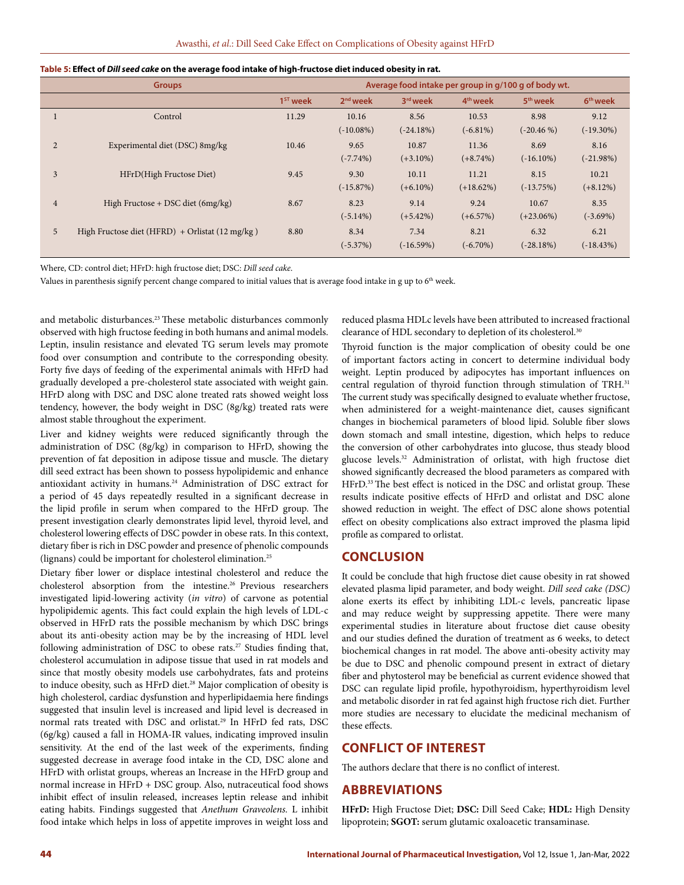| <b>Groups</b>  |                                                 |                      | Average food intake per group in g/100 g of body wt. |             |                      |                      |                      |
|----------------|-------------------------------------------------|----------------------|------------------------------------------------------|-------------|----------------------|----------------------|----------------------|
|                |                                                 | 1 <sup>ST</sup> week | $2nd$ week                                           | 3rd week    | 4 <sup>th</sup> week | 5 <sup>th</sup> week | 6 <sup>th</sup> week |
|                | Control                                         | 11.29                | 10.16                                                | 8.56        | 10.53                | 8.98                 | 9.12                 |
|                |                                                 |                      | $(-10.08\%)$                                         | $(-24.18%)$ | $(-6.81\%)$          | $(-20.46%)$          | $(-19.30\%)$         |
| 2              | Experimental diet (DSC) 8mg/kg                  | 10.46                | 9.65                                                 | 10.87       | 11.36                | 8.69                 | 8.16                 |
|                |                                                 |                      | $(-7.74\%)$                                          | $(+3.10\%)$ | $(+8.74\%)$          | $(-16.10\%)$         | $(-21.98%)$          |
| 3              | HFrD(High Fructose Diet)                        | 9.45                 | 9.30                                                 | 10.11       | 11.21                | 8.15                 | 10.21                |
|                |                                                 |                      | $(-15.87%)$                                          | $(+6.10\%)$ | $(+18.62\%)$         | $(-13.75%)$          | $(+8.12%)$           |
| $\overline{4}$ | High Fructose + DSC diet $(6mg/kg)$             | 8.67                 | 8.23                                                 | 9.14        | 9.24                 | 10.67                | 8.35                 |
|                |                                                 |                      | $(-5.14\%)$                                          | $(+5.42\%)$ | $(+6.57%)$           | $(+23.06\%)$         | $(-3.69\%)$          |
| 5              | High Fructose diet (HFRD) + Orlistat (12 mg/kg) | 8.80                 | 8.34                                                 | 7.34        | 8.21                 | 6.32                 | 6.21                 |
|                |                                                 |                      | $(-5.37%)$                                           | $(-16.59%)$ | $(-6.70\%)$          | $(-28.18%)$          | $(-18.43%)$          |

| Table 5: Effect of Dill seed cake on the average food intake of high-fructose diet induced obesity in rat. |  |  |  |
|------------------------------------------------------------------------------------------------------------|--|--|--|
|------------------------------------------------------------------------------------------------------------|--|--|--|

Where, CD: control diet; HFrD: high fructose diet; DSC: *Dill seed cake*.

Values in parenthesis signify percent change compared to initial values that is average food intake in g up to 6<sup>th</sup> week.

and metabolic disturbances.<sup>23</sup> These metabolic disturbances commonly observed with high fructose feeding in both humans and animal models. Leptin, insulin resistance and elevated TG serum levels may promote food over consumption and contribute to the corresponding obesity. Forty five days of feeding of the experimental animals with HFrD had gradually developed a pre-cholesterol state associated with weight gain. HFrD along with DSC and DSC alone treated rats showed weight loss tendency, however, the body weight in DSC (8g/kg) treated rats were almost stable throughout the experiment.

Liver and kidney weights were reduced significantly through the administration of DSC (8g/kg) in comparison to HFrD, showing the prevention of fat deposition in adipose tissue and muscle. The dietary dill seed extract has been shown to possess hypolipidemic and enhance antioxidant activity in humans.24 Administration of DSC extract for a period of 45 days repeatedly resulted in a significant decrease in the lipid profile in serum when compared to the HFrD group. The present investigation clearly demonstrates lipid level, thyroid level, and cholesterol lowering effects of DSC powder in obese rats. In this context, dietary fiber is rich in DSC powder and presence of phenolic compounds (lignans) could be important for cholesterol elimination.25

Dietary fiber lower or displace intestinal cholesterol and reduce the cholesterol absorption from the intestine.<sup>26</sup> Previous researchers investigated lipid-lowering activity (*in vitro*) of carvone as potential hypolipidemic agents. This fact could explain the high levels of LDL-c observed in HFrD rats the possible mechanism by which DSC brings about its anti-obesity action may be by the increasing of HDL level following administration of DSC to obese rats.<sup>27</sup> Studies finding that, cholesterol accumulation in adipose tissue that used in rat models and since that mostly obesity models use carbohydrates, fats and proteins to induce obesity, such as HFrD diet.<sup>28</sup> Major complication of obesity is high cholesterol, cardiac dysfunstion and hyperlipidaemia here findings suggested that insulin level is increased and lipid level is decreased in normal rats treated with DSC and orlistat.29 In HFrD fed rats, DSC (6g/kg) caused a fall in HOMA-IR values, indicating improved insulin sensitivity. At the end of the last week of the experiments, finding suggested decrease in average food intake in the CD, DSC alone and HFrD with orlistat groups, whereas an Increase in the HFrD group and normal increase in HFrD + DSC group. Also, nutraceutical food shows inhibit effect of insulin released, increases leptin release and inhibit eating habits. Findings suggested that *Anethum Graveolens.* L inhibit food intake which helps in loss of appetite improves in weight loss and

reduced plasma HDLc levels have been attributed to increased fractional clearance of HDL secondary to depletion of its cholesterol.<sup>30</sup>

Thyroid function is the major complication of obesity could be one of important factors acting in concert to determine individual body weight. Leptin produced by adipocytes has important influences on central regulation of thyroid function through stimulation of TRH.<sup>31</sup> The current study was specifically designed to evaluate whether fructose, when administered for a weight-maintenance diet, causes significant changes in biochemical parameters of blood lipid. Soluble fiber slows down stomach and small intestine, digestion, which helps to reduce the conversion of other carbohydrates into glucose, thus steady blood glucose levels.32 Administration of orlistat, with high fructose diet showed significantly decreased the blood parameters as compared with HFrD.<sup>33</sup> The best effect is noticed in the DSC and orlistat group. These results indicate positive effects of HFrD and orlistat and DSC alone showed reduction in weight. The effect of DSC alone shows potential effect on obesity complications also extract improved the plasma lipid profile as compared to orlistat.

### **CONCLUSION**

It could be conclude that high fructose diet cause obesity in rat showed elevated plasma lipid parameter, and body weight. *Dill seed cake (DSC)* alone exerts its effect by inhibiting LDL-c levels, pancreatic lipase and may reduce weight by suppressing appetite. There were many experimental studies in literature about fructose diet cause obesity and our studies defined the duration of treatment as 6 weeks, to detect biochemical changes in rat model. The above anti-obesity activity may be due to DSC and phenolic compound present in extract of dietary fiber and phytosterol may be beneficial as current evidence showed that DSC can regulate lipid profile, hypothyroidism, hyperthyroidism level and metabolic disorder in rat fed against high fructose rich diet. Further more studies are necessary to elucidate the medicinal mechanism of these effects.

## **CONFLICT OF INTEREST**

The authors declare that there is no conflict of interest.

# **ABBREVIATIONS**

**HFrD:** High Fructose Diet; **DSC:** Dill Seed Cake; **HDL:** High Density lipoprotein; **SGOT:** serum glutamic oxaloacetic transaminase.